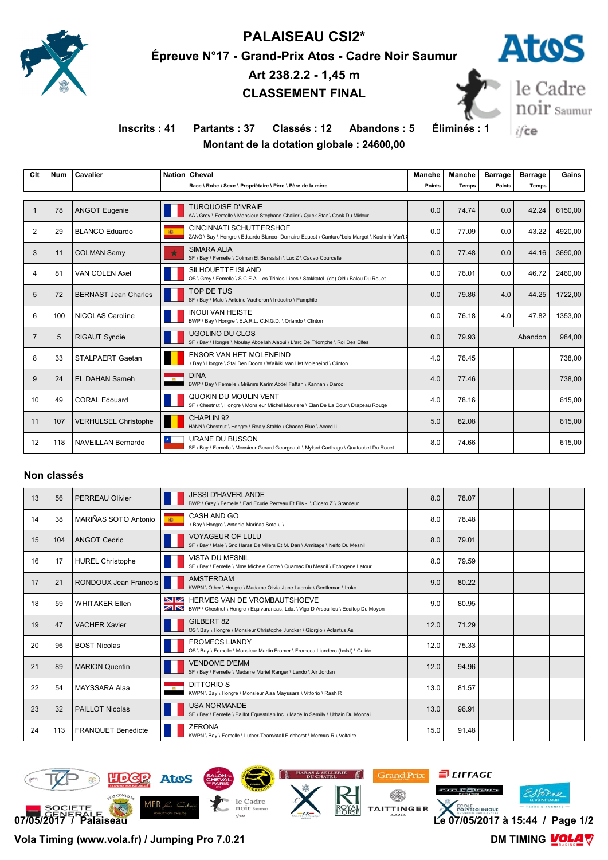

# **PALAISEAU CSI2\***

**Épreuve N°17 - Grand-Prix Atos - Cadre Noir Saumur**

**Art 238.2.2 - 1,45 m CLASSEMENT FINAL**



**Inscrits : 41 Partants : 37 Classés : 12 Abandons : 5 Éliminés : 1**

le Cadre<br>noir saumur ifce

## **Montant de la dotation globale : 24600,00**

| Clt            | <b>Num</b> | Cavalier                    |            | Nation Cheval                                                                                                           | Manche | Manche | <b>Barrage</b> | <b>Barrage</b> | Gains   |
|----------------|------------|-----------------------------|------------|-------------------------------------------------------------------------------------------------------------------------|--------|--------|----------------|----------------|---------|
|                |            |                             |            | Race \ Robe \ Sexe \ Propriétaire \ Père \ Père de la mère                                                              | Points | Temps  | <b>Points</b>  | <b>Temps</b>   |         |
|                |            |                             |            |                                                                                                                         |        |        |                |                |         |
|                | 78         | <b>ANGOT Eugenie</b>        |            | <b>TURQUOISE D'IVRAIE</b><br>AA \ Grey \ Femelle \ Monsieur Stephane Chalier \ Quick Star \ Cook Du Midour              | 0.0    | 74.74  | 0.0            | 42.24          | 6150.00 |
| 2              | 29         | <b>BLANCO Eduardo</b>       | 编          | CINCINNATI SCHUTTERSHOF<br>ZANG \ Bay \ Hongre \ Eduardo Blanco- Domaire Equest \ Canturo*bois Margot \ Kashmir Van't \ | 0.0    | 77.09  | 0.0            | 43.22          | 4920.00 |
| 3              | 11         | <b>COLMAN Samv</b>          | $\star$    | <b>SIMARA ALIA</b><br>SF \ Bay \ Femelle \ Colman Et Bensalah \ Lux Z \ Cacao Courcelle                                 | 0.0    | 77.48  | 0.0            | 44.16          | 3690.00 |
| 4              | 81         | <b>VAN COLEN Axel</b>       |            | SILHOUETTE ISLAND<br>OS \ Grey \ Femelle \ S.C.E.A. Les Triples Lices \ Stakkatol (de) Old \ Balou Du Rouet             | 0.0    | 76.01  | 0.0            | 46.72          | 2460,00 |
| 5              | 72         | <b>BERNAST Jean Charles</b> |            | TOP DE TUS<br>SF \ Bay \ Male \ Antoine Vacheron \ Indoctro \ Pamphile                                                  | 0.0    | 79.86  | 4.0            | 44.25          | 1722,00 |
| 6              | 100        | NICOLAS Caroline            |            | <b>INOUI VAN HEISTE</b><br>BWP \ Bay \ Hongre \ E.A.R.L. C.N.G.D. \ Orlando \ Clinton                                   | 0.0    | 76.18  | 4.0            | 47.82          | 1353.00 |
| $\overline{7}$ | 5          | <b>RIGAUT Syndie</b>        |            | UGOLINO DU CLOS<br>SF \ Bay \ Hongre \ Moulay Abdellah Alaoui \ L'arc De Triomphe \ Roi Des Elfes                       | 0.0    | 79.93  |                | Abandon        | 984.00  |
| 8              | 33         | STALPAERT Gaetan            |            | <b>ENSOR VAN HET MOLENEIND</b><br>Bay \ Hongre \ Stal Den Doorn \ Waikiki Van Het Moleneind \ Clinton                   | 4.0    | 76.45  |                |                | 738,00  |
| 9              | 24         | <b>EL DAHAN Sameh</b>       | <b>RAN</b> | <b>DINA</b><br>BWP \ Bay \ Femelle \ Mr&mrs Karim Abdel Fattah \ Kannan \ Darco                                         | 4.0    | 77.46  |                |                | 738,00  |
| 10             | 49         | <b>CORAL Edouard</b>        |            | QUOKIN DU MOULIN VENT<br>SF \ Chestnut \ Hongre \ Monsieur Michel Mouriere \ Elan De La Cour \ Drapeau Rouge            | 4.0    | 78.16  |                |                | 615.00  |
| 11             | 107        | <b>VERHULSEL Christophe</b> |            | CHAPLIN 92<br>HANN \ Chestnut \ Hongre \ Realy Stable \ Chacco-Blue \ Acord li                                          | 5.0    | 82.08  |                |                | 615,00  |
| 12             | 118        | NAVEILLAN Bernardo          |            | URANE DU BUSSON<br>SF \ Bay \ Femelle \ Monsieur Gerard Georgeault \ Mylord Carthago \ Quatoubet Du Rouet               | 8.0    | 74.66  |                |                | 615,00  |

#### **Non classés**

| 13 | 56  | <b>PERREAU Olivier</b>    |                         | <b>JESSI D'HAVERLANDE</b><br>BWP \ Grey \ Femelle \ Earl Ecurie Perreau Et Fils - \ Cicero Z \ Grandeur                       | 8.0  | 78.07 |  |  |
|----|-----|---------------------------|-------------------------|-------------------------------------------------------------------------------------------------------------------------------|------|-------|--|--|
| 14 | 38  | MARIÑAS SOTO Antonio      | 编。                      | CASH AND GO<br>Bay \ Hongre \ Antonio Mariñas Soto \ \                                                                        | 8.0  | 78.48 |  |  |
| 15 | 104 | <b>ANGOT Cedric</b>       |                         | <b>VOYAGEUR OF LULU</b><br>SF \ Bay \ Male \ Snc Haras De Villers Et M. Dan \ Armitage \ Nelfo Du Mesnil                      | 8.0  | 79.01 |  |  |
| 16 | 17  | <b>HUREL Christophe</b>   |                         | <b>VISTA DU MESNIL</b><br>SF \ Bay \ Femelle \ Mme Michele Corre \ Quarnac Du Mesnil \ Echogene Latour                        | 8.0  | 79.59 |  |  |
| 17 | 21  | RONDOUX Jean Francois     | П                       | <b>AMSTERDAM</b><br>KWPN \ Other \ Hongre \ Madame Olivia Jane Lacroix \ Gentleman \ Iroko                                    | 9.0  | 80.22 |  |  |
| 18 | 59  | <b>WHITAKER Ellen</b>     | ZN                      | <b>NZ HERMES VAN DE VROMBAUTSHOEVE</b><br>BWP \ Chestnut \ Hongre \ Equivarandas, Lda. \ Vigo D Arsouilles \ Equitop Du Moyon | 9.0  | 80.95 |  |  |
| 19 | 47  | <b>VACHER Xavier</b>      |                         | GILBERT 82<br>OS \ Bay \ Hongre \ Monsieur Christophe Juncker \ Giorgio \ Adlantus As                                         | 12.0 | 71.29 |  |  |
| 20 | 96  | <b>BOST Nicolas</b>       |                         | <b>FROMECS LIANDY</b><br>OS \ Bay \ Femelle \ Monsieur Martin Fromer \ Fromecs Liandero (holst) \ Calido                      | 12.0 | 75.33 |  |  |
| 21 | 89  | <b>MARION Quentin</b>     |                         | <b>VENDOME D'EMM</b><br>SF \ Bay \ Femelle \ Madame Muriel Ranger \ Lando \ Air Jordan                                        | 12.0 | 94.96 |  |  |
| 22 | 54  | MAYSSARA Alaa             | $\overline{\mathbf{M}}$ | DITTORIO <sub>S</sub><br>KWPN \ Bay \ Hongre \ Monsieur Alaa Mayssara \ Vittorio \ Rash R                                     | 13.0 | 81.57 |  |  |
| 23 | 32  | <b>PAILLOT Nicolas</b>    |                         | <b>USA NORMANDE</b><br>SF \ Bay \ Femelle \ Paillot Equestrian Inc. \ Made In Semilly \ Urbain Du Monnai                      | 13.0 | 96.91 |  |  |
| 24 | 113 | <b>FRANQUET Benedicte</b> |                         | <b>ZERONA</b><br>KWPN \ Bay \ Femelle \ Luther-Team/stall Eichhorst \ Mermus R \ Voltaire                                     | 15.0 | 91.48 |  |  |